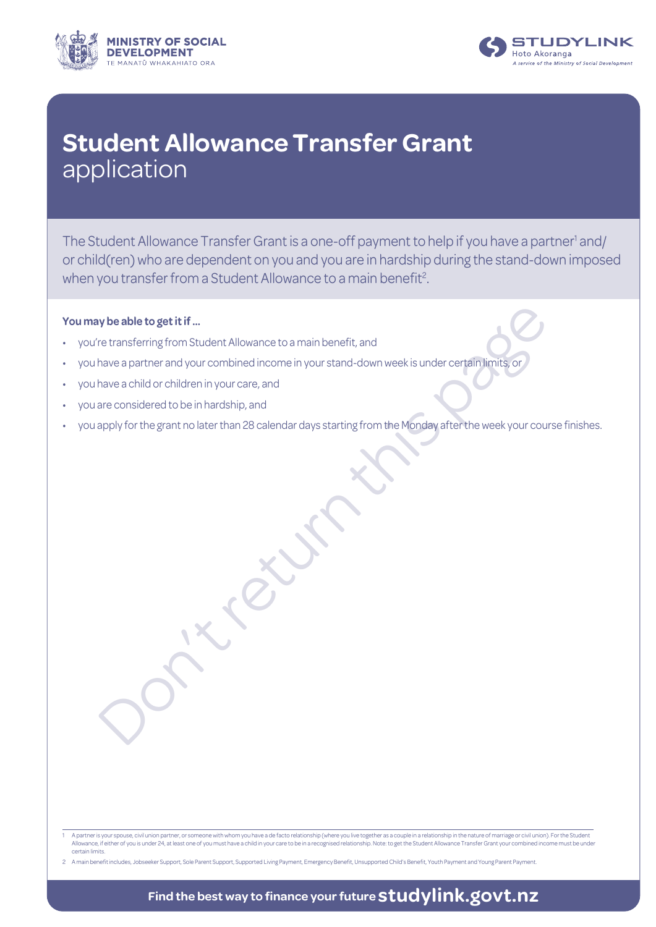



## **Student Allowance Transfer Grant** application

The Student Allowance Transfer Grant is a one-off payment to help if you have a partner<sup>1</sup> and/ or child(ren) who are dependent on you and you are in hardship during the stand-down imposed when you transfer from a Student Allowance to a main benefit<sup>2</sup>.

### **You may be able to get it if ...**

- you're transferring from Student Allowance to a main benefit, and
- the able to get it if ...<br>
The transferring from Student Allowance to a main benefit, and<br>
thave a partner and your combined income in your stand-down week is under cerral filmles or<br>
The partner and your combined income i • you have a partner and your combined income in your stand-down week is under certain limits, or
- you have a child or children in your care, and
- you are considered to be in hardship, and
- you apply for the grant no later than 28 calendar days starting from the Monday after the week your course finishes.

<sup>1</sup> A partner is your spouse, civil union partner, or someone with whom you have a de facto relationship (where you live together as a couple in a relationship in the nature of marriage or civil union). For the Student<br>Allow certain limits.

<sup>2</sup> A main benefit includes, Jobseeker Support, Sole Parent Support, Supported Living Payment, Emergency Benefit, Unsupported Child's Benefit, Youth Payment and Young Parent Payment.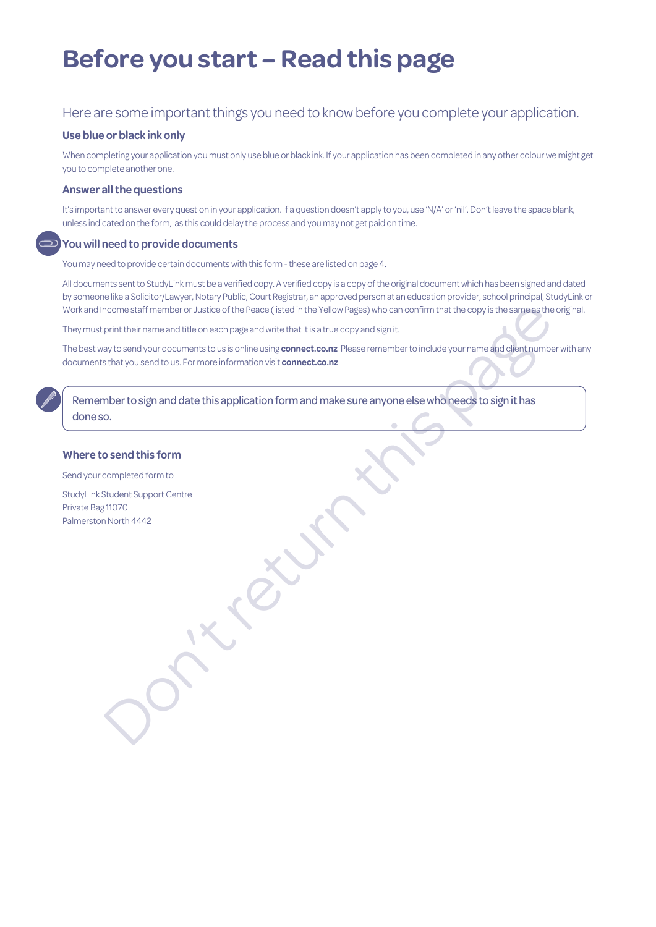# **Before you start – Read this page**

### Here are some important things you need to know before you complete your application.

#### **Use blue or black ink only**

When completing your application you must only use blue or black ink. If your application has been completed in any other colour we might get you to complete another one.

#### **Answer all the questions**

It's important to answer every question in your application. If a question doesn't apply to you, use 'N/A' or 'nil'. Don't leave the space blank, unless indicated on the form, as this could delay the process and you may not get paid on time.

#### **You will need to provide documents**

You may need to provide certain documents with this form - these are listed on page 4.

All documents sent to StudyLink must be a verified copy. A verified copy is a copy of the original document which has been signed and dated by someone like a Solicitor/Lawyer, Notary Public, Court Registrar, an approved person at an education provider, school principal, StudyLink or Work and Income staff member or Justice of the Peace (listed in the Yellow Pages) who can confirm that the copy is the same as the original.

They must print their name and title on each page and write that it is a true copy and sign it.

The best way to send your documents to us is online using **connect.co.nz** Please remember to include your name and client number with any documents that you send to us. For more information visit **connect.co.nz** 

nocme staff member or Justice of the Peace (listed in the Yellow Pages) who can confirm that the copy is the same as the<br>pint their rame and title one ach page and wire that it is a true copy and sign it.<br>But besind your d Remember to sign and date this application form and make sure anyone else who needs to sign it has done so.

#### **Where to send this form**

Send your completed form to

StudyLink Student Support Centre Private Bag 11070 Palmerston North 4442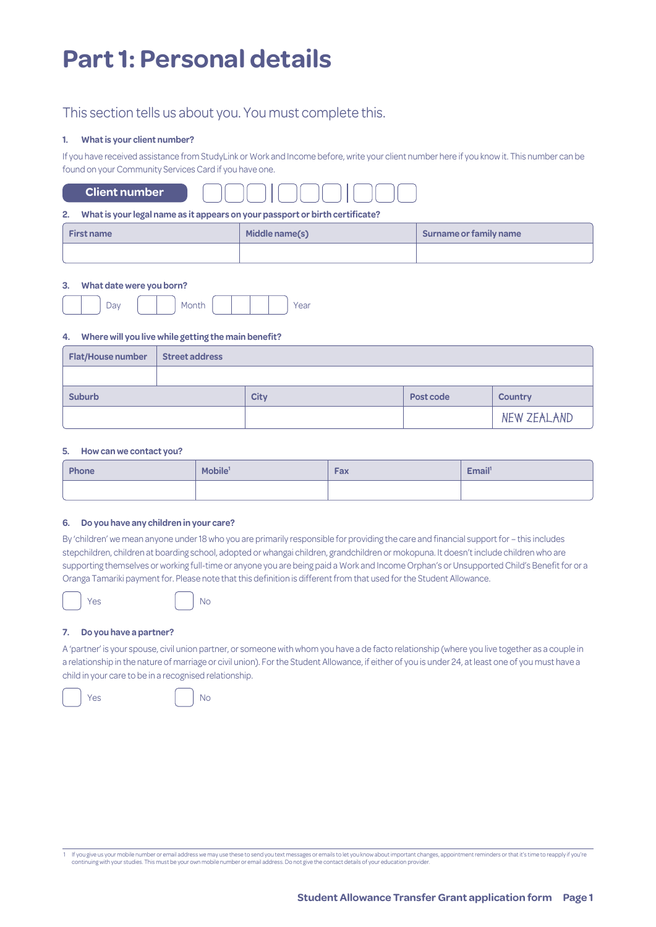# **Part 1: Personal details**

### This section tells us about you. You must complete this.

#### **1. What is your client number?**

If you have received assistance from StudyLink or Work and Income before, write your client number here if you know it. This number can be found on your Community Services Card if you have one.

|  | <b>Client number</b> |  |  |
|--|----------------------|--|--|
|--|----------------------|--|--|

#### **2. What is your legal name as it appears on your passport or birth certificate?**

| <b>First name</b> | Middle name(s) | Surname or family name |
|-------------------|----------------|------------------------|
|                   |                |                        |

#### **3. What date were you born?**

| ◡<br>÷ | . .<br>ີ |  |  | - -<br>Udl |
|--------|----------|--|--|------------|
|        |          |  |  |            |

#### **4. Where will you live while getting the main benefit?**

| <b>Flat/House number</b> | <b>Street address</b> |             |           |                |
|--------------------------|-----------------------|-------------|-----------|----------------|
|                          |                       |             |           |                |
| <b>Suburb</b>            |                       | <b>City</b> | Post code | <b>Country</b> |
|                          |                       |             |           | NEW ZEALAND    |

#### **5. How can we contact you?**

| <b>Phone</b> | Mobile <sup>1</sup><br>Fax |  | Email <sup>1</sup> |  |  |
|--------------|----------------------------|--|--------------------|--|--|
|              |                            |  |                    |  |  |

#### **6. Do you have any children in your care?**

By 'children' we mean anyone under 18 who you are primarily responsible for providing the care and financial support for – this includes stepchildren, children at boarding school, adopted or whangai children, grandchildren or mokopuna. It doesn't include children who are supporting themselves or working full-time or anyone you are being paid a Work and Income Orphan's or Unsupported Child's Benefit for or a Oranga Tamariki payment for. Please note that this definition is different from that used for the Student Allowance.



#### Yes No

#### **7. Do you have a partner?**

A 'partner' is your spouse, civil union partner, or someone with whom you have a de facto relationship (where you live together as a couple in a relationship in the nature of marriage or civil union). For the Student Allowance, if either of you is under 24, at least one of you must have a child in your care to be in a recognised relationship.

Yes No

1 If you give us your mobile number or email address we may use these to send you text messages or emails to let you know about important changes, appointment reminders or that it's time to reapply if you're continuing wit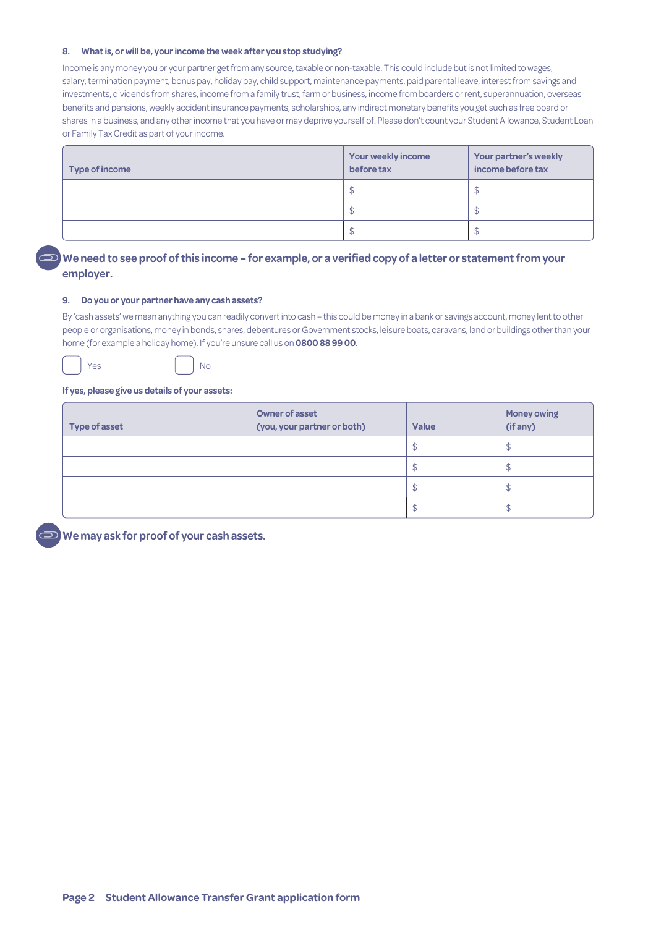#### **8. What is, or will be, your income the week after you stop studying?**

Income is any money you or your partner get from any source, taxable or non-taxable. This could include but is not limited to wages, salary, termination payment, bonus pay, holiday pay, child support, maintenance payments, paid parental leave, interest from savings and investments, dividends from shares, income from a family trust, farm or business, income from boarders or rent, superannuation, overseas benefits and pensions, weekly accident insurance payments, scholarships, any indirect monetary benefits you get such as free board or shares in a business, and any other income that you have or may deprive yourself of. Please don't count your Student Allowance, Student Loan or Family Tax Credit as part of your income.

| Type of income | Your weekly income<br>before tax | Your partner's weekly<br>income before tax |
|----------------|----------------------------------|--------------------------------------------|
|                | ۰D                               |                                            |
|                | ۰D                               |                                            |
|                |                                  | P                                          |

### **We need to see proof of this income – for example, or a verified copy of a letter or statement from your employer.**

#### **9. Do you or your partner have any cash assets?**

By 'cash assets' we mean anything you can readily convert into cash – this could be money in a bank or savings account, money lent to other people or organisations, money in bonds, shares, debentures or Government stocks, leisure boats, caravans, land or buildings other than your home (for example a holiday home). If you're unsure call us on **0800 88 99 00**.



Yes No

#### **If yes, please give us details of your assets:**

| Type of asset | <b>Owner of asset</b><br>(you, your partner or both) | <b>Value</b> | <b>Money owing</b><br>(if any) |
|---------------|------------------------------------------------------|--------------|--------------------------------|
|               |                                                      |              | ۰D                             |
|               |                                                      |              | D                              |
|               |                                                      |              | ۰D                             |
|               |                                                      |              | Œ                              |

**We may ask for proof of your cash assets.**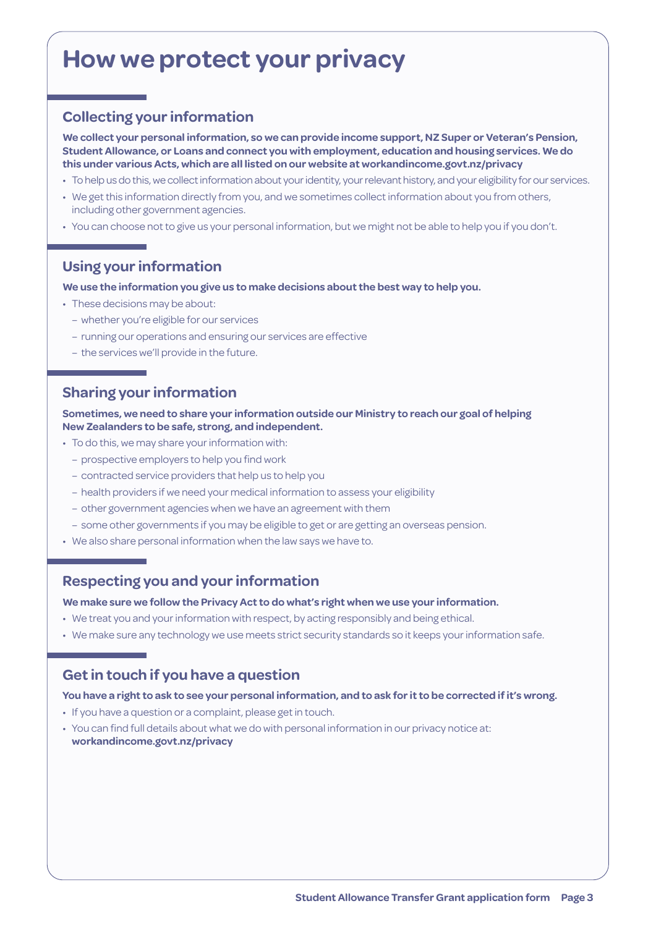## **How we protect your privacy**

## **Collecting your information**

**We collect your personal information, so we can provide income support, NZ Super or Veteran's Pension, Student Allowance, or Loans and connect you with employment, education and housing services. We do this under various Acts, which are all listed on our website at [workandincome.govt.nz/p](http://www.workandincome.govt.nz/about-work-and-income/privacy-notice/index.html)rivacy**

- To help us do this, we collect information about your identity, your relevant history, and your eligibility for our services.
- We get this information directly from you, and we sometimes collect information about you from others, including other government agencies.
- You can choose not to give us your personal information, but we might not be able to help you if you don't.

## **Using your information**

#### **We use the information you give us to make decisions about the best way to help you.**

- These decisions may be about:
	- whether you're eligible for our services
	- running our operations and ensuring our services are effective
	- the services we'll provide in the future.

### **Sharing your information**

**Sometimes, we need to share your information outside our Ministry to reach our goal of helping New Zealanders to be safe, strong, and independent.**

- To do this, we may share your information with:
	- prospective employers to help you find work
	- contracted service providers that help us to help you
	- health providers if we need your medical information to assess your eligibility
	- other government agencies when we have an agreement with them
	- some other governments if you may be eligible to get or are getting an overseas pension.
- We also share personal information when the law says we have to.

### **Respecting you and your information**

**We make sure we follow the Privacy Act to do what's right when we use your information.**

- We treat you and your information with respect, by acting responsibly and being ethical.
- We make sure any technology we use meets strict security standards so it keeps your information safe.

## **Get in touch if you have a question**

#### **You have a right to ask to see your personal information, and to ask for it to be corrected if it's wrong.**

- If you have a question or a complaint, please get in touch.
- You can find full details about what we do with personal information in our privacy notice at: **[workandincome.govt.nz/p](http://www.workandincome.govt.nz/about-work-and-income/privacy-notice/index.html)rivacy**